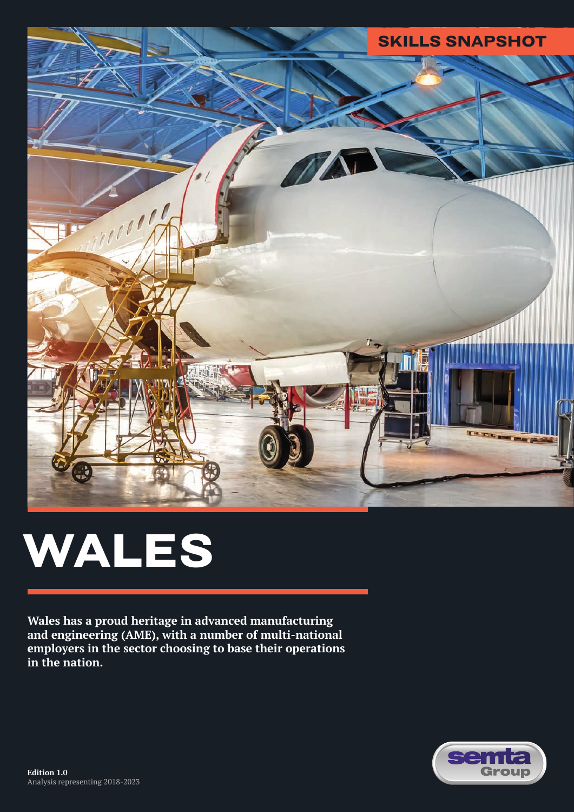

# **WALES**

**Wales has a proud heritage in advanced manufacturing and engineering (AME), with a number of multi-national employers in the sector choosing to base their operations in the nation.** 

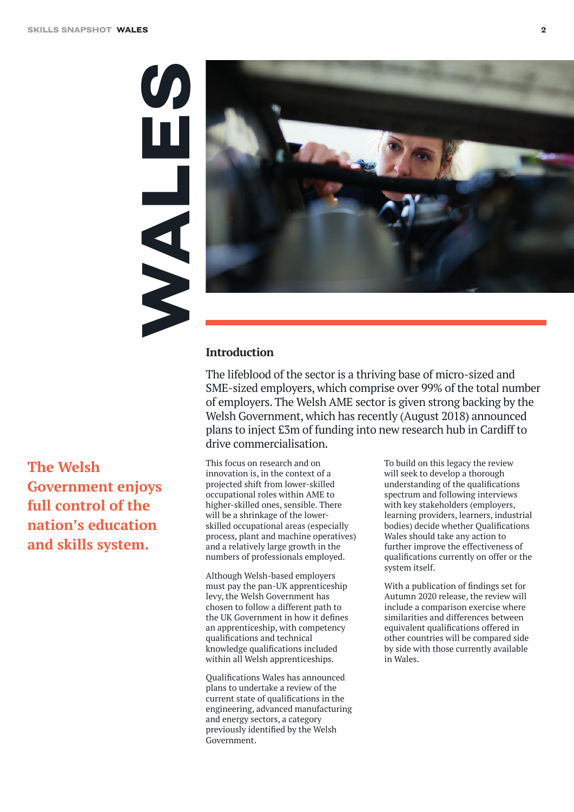WHALES HALL



#### **Introduction**

The lifeblood of the sector is a thriving base of micro-sized and SME-sized employers, which comprise over 99% of the total number of employers. The Welsh AME sector is given strong backing by the Welsh Government, which has recently (August 2018) announced plans to inject £3m of funding into new research hub in Cardiff to drive commercialisation.

**The Welsh Government enjoys full control of the nation's education and skills system.**

This focus on research and on innovation is, in the context of a projected shift from lower-skilled occupational roles within AME to higher-skilled ones, sensible. There will be a shrinkage of the lowerskilled occupational areas (especially process, plant and machine operatives) and a relatively large growth in the numbers of professionals employed.

Although Welsh-based employers must pay the pan-UK apprenticeship levy, the Welsh Government has chosen to follow a different path to the UK Government in how it defines an apprenticeship, with competency qualifications and technical knowledge qualifications included within all Welsh apprenticeships.

Qualifications Wales has announced plans to undertake a review of the current state of qualifications in the engineering, advanced manufacturing and energy sectors, a category previously identified by the Welsh Government.

To build on this legacy the review will seek to develop a thorough understanding of the qualifications spectrum and following interviews with key stakeholders (employers, learning providers, learners, industrial bodies) decide whether Qualifications Wales should take any action to further improve the effectiveness of qualifications currently on offer or the system itself.

With a publication of findings set for Autumn 2020 release, the review will include a comparison exercise where similarities and differences between equivalent qualifications offered in other countries will be compared side by side with those currently available in Wales.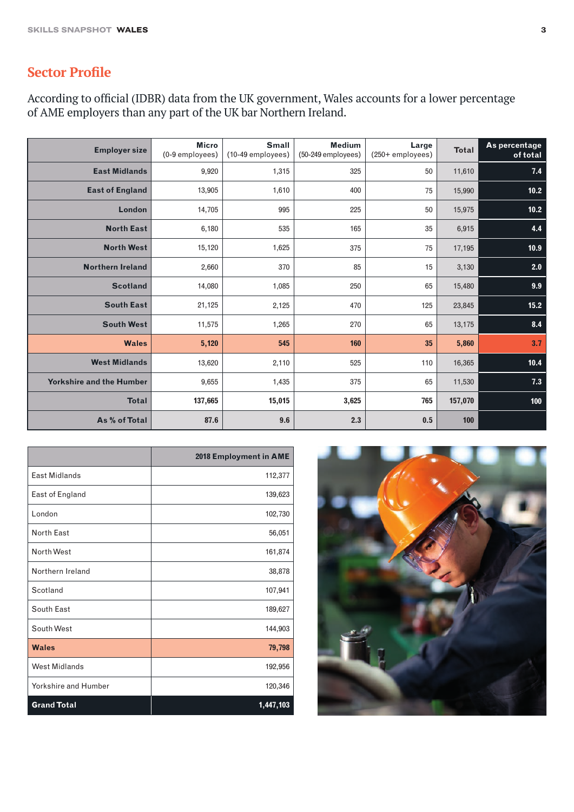## **Sector Profile**

According to official (IDBR) data from the UK government, Wales accounts for a lower percentage of AME employers than any part of the UK bar Northern Ireland.

| <b>Employer size</b>            | <b>Micro</b><br>(0-9 employees) | <b>Small</b><br>(10-49 employees) | <b>Medium</b><br>(50-249 employees) | Large<br>$(250 +$ employees) | <b>Total</b> | As percentage<br>of total |
|---------------------------------|---------------------------------|-----------------------------------|-------------------------------------|------------------------------|--------------|---------------------------|
| <b>East Midlands</b>            | 9,920                           | 1,315                             | 325                                 | 50                           | 11,610       | $7.4$                     |
| <b>East of England</b>          | 13,905                          | 1,610                             | 400                                 | 75                           | 15,990       | $10.2$                    |
| London                          | 14,705                          | 995                               | 225                                 | 50                           | 15,975       | 10.2                      |
| <b>North East</b>               | 6,180                           | 535                               | 165                                 | 35                           | 6,915        | 4.4                       |
| <b>North West</b>               | 15,120                          | 1,625                             | 375                                 | 75                           | 17,195       | 10.9                      |
| <b>Northern Ireland</b>         | 2,660                           | 370                               | 85                                  | 15                           | 3,130        | 2.0                       |
| <b>Scotland</b>                 | 14,080                          | 1,085                             | 250                                 | 65                           | 15,480       | 9.9                       |
| <b>South East</b>               | 21,125                          | 2,125                             | 470                                 | 125                          | 23,845       | 15.2                      |
| <b>South West</b>               | 11,575                          | 1,265                             | 270                                 | 65                           | 13,175       | 8.4                       |
| <b>Wales</b>                    | 5,120                           | 545                               | 160                                 | 35                           | 5,860        | 3.7                       |
| <b>West Midlands</b>            | 13,620                          | 2,110                             | 525                                 | 110                          | 16,365       | 10.4                      |
| <b>Yorkshire and the Humber</b> | 9,655                           | 1,435                             | 375                                 | 65                           | 11,530       | $7.3$                     |
| <b>Total</b>                    | 137,665                         | 15,015                            | 3,625                               | 765                          | 157,070      | 100                       |
| As % of Total                   | 87.6                            | 9.6                               | 2.3                                 | 0.5                          | 100          |                           |

|                      | 2018 Employment in AME |
|----------------------|------------------------|
| East Midlands        | 112,377                |
| East of England      | 139,623                |
| London               | 102,730                |
| <b>North East</b>    | 56,051                 |
| North West           | 161,874                |
| Northern Ireland     | 38,878                 |
| Scotland             | 107,941                |
| South East           | 189,627                |
| South West           | 144,903                |
| <b>Wales</b>         | 79,798                 |
| <b>West Midlands</b> | 192,956                |
| Yorkshire and Humber | 120,346                |
| <b>Grand Total</b>   | 1,447,103              |

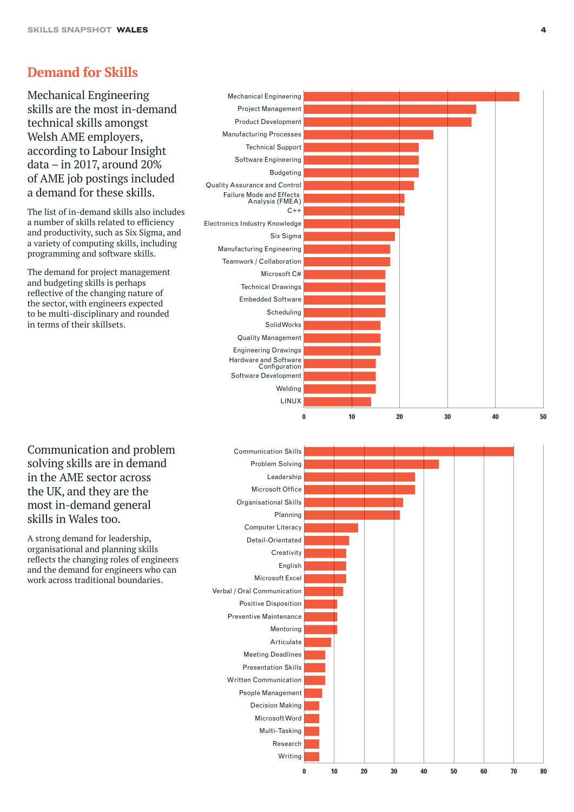#### **Demand for Skills**

Mechanical Engineering skills are the most in-demand technical skills amongst Welsh AME employers, according to Labour Insight data – in 2017, around 20% of AME job postings included a demand for these skills.

The list of in-demand skills also includes a number of skills related to efficiency and productivity, such as Six Sigma, and a variety of computing skills, including programming and software skills.

The demand for project management and budgeting skills is perhaps reflective of the changing nature of the sector, with engineers expected to be multi-disciplinary and rounded in terms of their skillsets.



Communication and problem solving skills are in demand in the AME sector across the UK, and they are the most in-demand general skills in Wales too.

A strong demand for leadership, organisational and planning skills reflects the changing roles of engineers and the demand for engineers who can work across traditional boundaries.

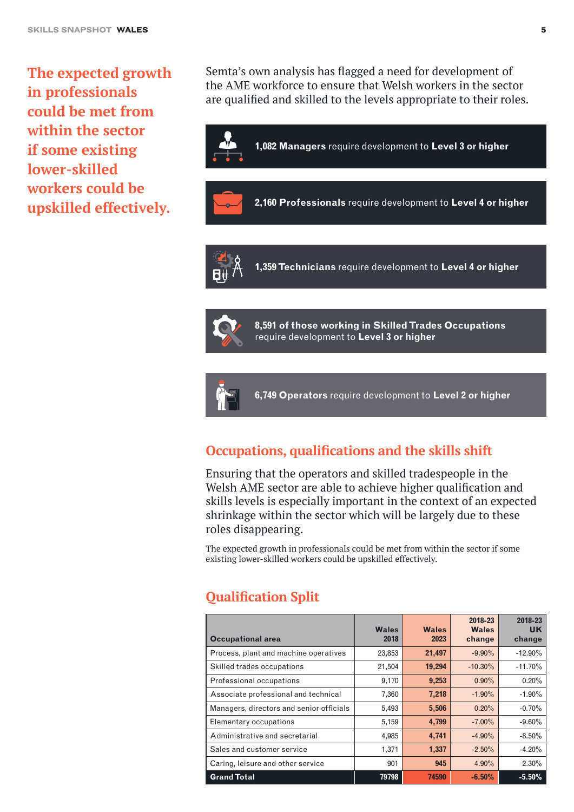**The expected growth in professionals could be met from within the sector if some existing lower-skilled workers could be upskilled effectively.**

Semta's own analysis has flagged a need for development of the AME workforce to ensure that Welsh workers in the sector are qualified and skilled to the levels appropriate to their roles.



**1,359 Technicians** require development to **Level 4 or higher**



**8,591 of those working in Skilled Trades Occupations** require development to **Level 3 or higher**



**6,749 Operators** require development to **Level 2 or higher**

#### **Occupations, qualifications and the skills shift**

Ensuring that the operators and skilled tradespeople in the Welsh AME sector are able to achieve higher qualification and skills levels is especially important in the context of an expected shrinkage within the sector which will be largely due to these roles disappearing.

The expected growth in professionals could be met from within the sector if some existing lower-skilled workers could be upskilled effectively.

#### **Qualification Split**

| <b>Occupational area</b>                 | <b>Wales</b><br>2018 | <b>Wales</b><br>2023 | 2018-23<br><b>Wales</b><br>change | 2018-23<br><b>UK</b><br>change |
|------------------------------------------|----------------------|----------------------|-----------------------------------|--------------------------------|
| Process, plant and machine operatives    | 23,853               | 21,497               | $-9.90\%$                         | $-12.90\%$                     |
| Skilled trades occupations               | 21,504               | 19,294               | $-10.30\%$                        | $-11.70%$                      |
| Professional occupations                 | 9,170                | 9,253                | $0.90\%$                          | 0.20%                          |
| Associate professional and technical     | 7,360                | 7,218                | $-1.90\%$                         | $-1.90\%$                      |
| Managers, directors and senior officials | 5,493                | 5,506                | $0.20\%$                          | $-0.70%$                       |
| Elementary occupations                   | 5,159                | 4,799                | $-7.00\%$                         | $-9.60\%$                      |
| Administrative and secretarial           | 4,985                | 4,741                | $-4.90\%$                         | $-8.50\%$                      |
| Sales and customer service               | 1,371                | 1,337                | $-2.50\%$                         | $-4.20%$                       |
| Caring, leisure and other service        | 901                  | 945                  | $4.90\%$                          | $2.30\%$                       |
| <b>Grand Total</b>                       | 79798                | 74590                | $-6.50%$                          | $-5.50%$                       |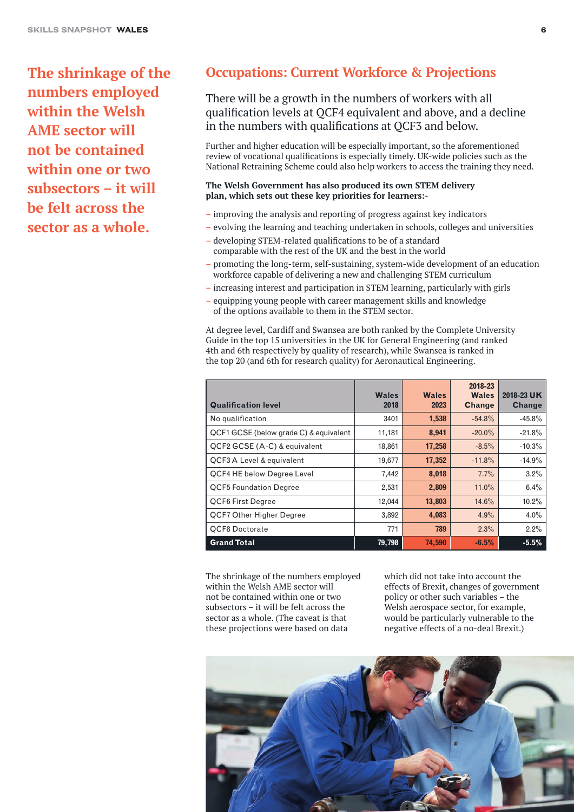**The shrinkage of the numbers employed within the Welsh AME sector will not be contained within one or two subsectors – it will be felt across the sector as a whole.** 

#### **Occupations: Current Workforce & Projections**

There will be a growth in the numbers of workers with all qualification levels at QCF4 equivalent and above, and a decline in the numbers with qualifications at QCF3 and below.

Further and higher education will be especially important, so the aforementioned review of vocational qualifications is especially timely. UK-wide policies such as the National Retraining Scheme could also help workers to access the training they need.

#### **The Welsh Government has also produced its own STEM delivery plan, which sets out these key priorities for learners:-**

- improving the analysis and reporting of progress against key indicators
- evolving the learning and teaching undertaken in schools, colleges and universities
- developing STEM-related qualifications to be of a standard comparable with the rest of the UK and the best in the world
- promoting the long-term, self-sustaining, system-wide development of an education workforce capable of delivering a new and challenging STEM curriculum
- increasing interest and participation in STEM learning, particularly with girls
- equipping young people with career management skills and knowledge of the options available to them in the STEM sector.

At degree level, Cardiff and Swansea are both ranked by the Complete University Guide in the top 15 universities in the UK for General Engineering (and ranked 4th and 6th respectively by quality of research), while Swansea is ranked in the top 20 (and 6th for research quality) for Aeronautical Engineering.

| <b>Qualification level</b>             | <b>Wales</b><br>2018 | <b>Wales</b><br>2023 | 2018-23<br><b>Wales</b><br><b>Change</b> | 2018-23 UK<br><b>Change</b> |
|----------------------------------------|----------------------|----------------------|------------------------------------------|-----------------------------|
| No qualification                       | 3401                 | 1,538                | $-54.8%$                                 | $-45.8%$                    |
| QCF1 GCSE (below grade C) & equivalent | 11,181               | 8,941                | $-20.0\%$                                | $-21.8%$                    |
| QCF2 GCSE (A-C) & equivalent           | 18,861               | 17,258               | $-8.5%$                                  | $-10.3%$                    |
| QCF3 A Level & equivalent              | 19,677               | 17,352               | $-11.8%$                                 | $-14.9%$                    |
| <b>QCF4 HE below Degree Level</b>      | 7,442                | 8,018                | 7.7%                                     | 3.2%                        |
| <b>QCF5 Foundation Degree</b>          | 2,531                | 2,809                | $11.0\%$                                 | 6.4%                        |
| <b>QCF6 First Degree</b>               | 12,044               | 13,803               | 14.6%                                    | 10.2%                       |
| <b>QCF7 Other Higher Degree</b>        | 3,892                | 4,083                | 4.9%                                     | 4.0%                        |
| <b>QCF8 Doctorate</b>                  | 771                  | 789                  | 2.3%                                     | 2.2%                        |
| <b>Grand Total</b>                     | 79,798               | 74,590               | $-6.5%$                                  | $-5.5%$                     |

The shrinkage of the numbers employed within the Welsh AME sector will not be contained within one or two subsectors – it will be felt across the sector as a whole. (The caveat is that these projections were based on data

which did not take into account the effects of Brexit, changes of government policy or other such variables – the Welsh aerospace sector, for example, would be particularly vulnerable to the negative effects of a no-deal Brexit.)